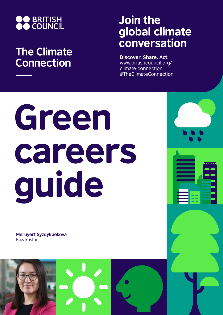

## **The Climate Connection**

## Join the global climate conversation

**Discover. Share. Act.** www.britishcouncil.org/ climate-connection #TheClimateConnection

# Green careers guide

**Meruyert Syzdykbekova** Kazakhstan